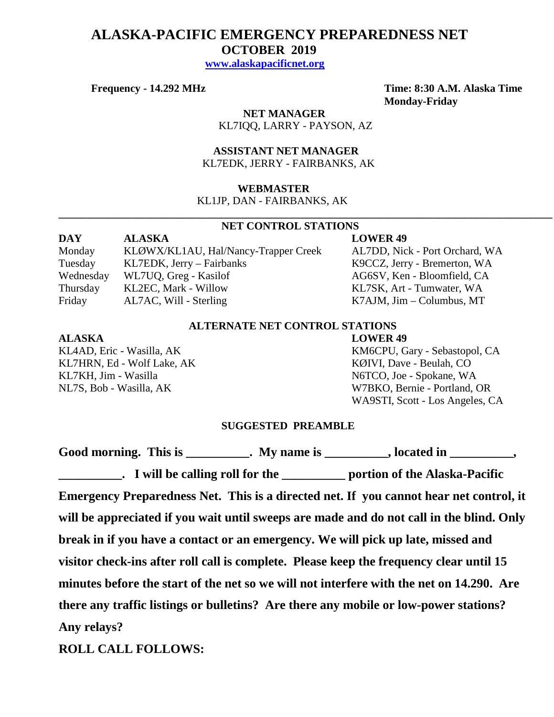# **ALASKA-PACIFIC EMERGENCY PREPAREDNESS NET OCTOBER 2019**

 **[www.alaskapacificnet.org](http://www.alaskapacificnet.org/)**

**Frequency - 14.292 MHz Time: 8:30 A.M. Alaska Time**

**Monday-Friday**

 **NET MANAGER** KL7IQQ, LARRY - PAYSON, AZ

 **ASSISTANT NET MANAGER**  KL7EDK, JERRY - FAIRBANKS, AK

# **WEBMASTER**

KL1JP, DAN - FAIRBANKS, AK

# **NET CONTROL STATIONS**

**\_\_\_\_\_\_\_\_\_\_\_\_\_\_\_\_\_\_\_\_\_\_\_\_\_\_\_\_\_\_\_\_\_\_\_\_\_\_\_\_\_\_\_\_\_\_\_\_\_\_\_\_\_\_\_\_\_\_\_\_\_\_\_\_\_\_\_\_\_\_\_\_\_\_\_\_\_\_\_\_\_\_\_\_\_\_\_\_\_\_\_**

**DAY ALASKA LOWER 49** Monday KLØWX/KL1AU, Hal/Nancy-Trapper Creek AL7DD, Nick - Port Orchard, WA Tuesday KL7EDK, Jerry – Fairbanks K9CCZ, Jerry - Bremerton, WA Wednesday WL7UQ, Greg - Kasilof AG6SV, Ken - Bloomfield, CA Thursday KL2EC, Mark - Willow KL7SK, Art - Tumwater, WA Friday AL7AC, Will - Sterling K7AJM, Jim – Columbus, MT

# **ALTERNATE NET CONTROL STATIONS**

### **ALASKA LOWER 49**

KL7HRN, Ed - Wolf Lake, AK KØIVI, Dave - Beulah, CO KL7KH, Jim - Wasilla N6TCO, Joe - Spokane, WA

KL4AD, Eric - Wasilla, AK KM6CPU, Gary - Sebastopol, CA NL7S, Bob - Wasilla, AK W7BKO, Bernie - Portland, OR WA9STI, Scott - Los Angeles, CA

# **SUGGESTED PREAMBLE**

Good morning. This is \_\_\_\_\_\_\_\_\_\_. My name is \_\_\_\_\_\_\_\_\_, located in \_\_\_\_\_\_\_\_\_, **\_\_\_\_\_\_\_\_\_\_. I will be calling roll for the \_\_\_\_\_\_\_\_\_\_ portion of the Alaska-Pacific Emergency Preparedness Net. This is a directed net. If you cannot hear net control, it will be appreciated if you wait until sweeps are made and do not call in the blind. Only break in if you have a contact or an emergency. We will pick up late, missed and visitor check-ins after roll call is complete. Please keep the frequency clear until 15 minutes before the start of the net so we will not interfere with the net on 14.290. Are there any traffic listings or bulletins? Are there any mobile or low-power stations? Any relays?** 

**ROLL CALL FOLLOWS:**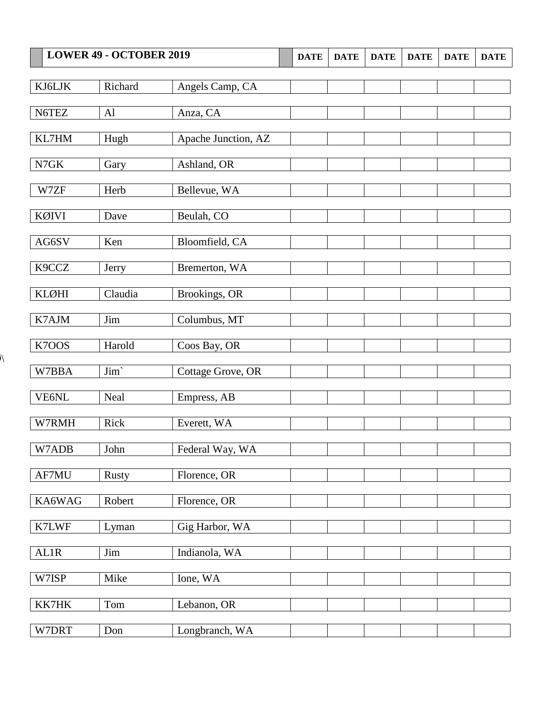| <b>LOWER 49 - OCTOBER 2019</b> |              | <b>DATE</b>         | <b>DATE</b> | <b>DATE</b> | <b>DATE</b> | <b>DATE</b> | <b>DATE</b> |  |
|--------------------------------|--------------|---------------------|-------------|-------------|-------------|-------------|-------------|--|
|                                |              |                     |             |             |             |             |             |  |
| KJ6LJK                         | Richard      | Angels Camp, CA     |             |             |             |             |             |  |
| N6TEZ                          | AI           | Anza, CA            |             |             |             |             |             |  |
| KL7HM                          | Hugh         | Apache Junction, AZ |             |             |             |             |             |  |
|                                |              |                     |             |             |             |             |             |  |
| $\ensuremath{\mathsf{N7GK}}$   | Gary         | Ashland, OR         |             |             |             |             |             |  |
| W7ZF                           | Herb         | Bellevue, WA        |             |             |             |             |             |  |
| KØIVI                          | Dave         | Beulah, CO          |             |             |             |             |             |  |
| AG6SV                          | Ken          | Bloomfield, CA      |             |             |             |             |             |  |
| K9CCZ                          | Jerry        | Bremerton, WA       |             |             |             |             |             |  |
| <b>KLØHI</b>                   | Claudia      | Brookings, OR       |             |             |             |             |             |  |
| K7AJM                          | Jim          | Columbus, MT        |             |             |             |             |             |  |
| K7OOS                          | Harold       | Coos Bay, OR        |             |             |             |             |             |  |
| W7BBA                          | Jim'         | Cottage Grove, OR   |             |             |             |             |             |  |
| VE6NL                          | Neal         | Empress, AB         |             |             |             |             |             |  |
| W7RMH                          | Rick         | Everett, WA         |             |             |             |             |             |  |
| W7ADB                          | John         | Federal Way, WA     |             |             |             |             |             |  |
| AF7MU                          | <b>Rusty</b> | Florence, OR        |             |             |             |             |             |  |
| KA6WAG                         | Robert       | Florence, OR        |             |             |             |             |             |  |
| K7LWF                          | Lyman        | Gig Harbor, WA      |             |             |             |             |             |  |
| AL1R                           | Jim          | Indianola, WA       |             |             |             |             |             |  |
| W7ISP                          | Mike         | Ione, WA            |             |             |             |             |             |  |
| KK7HK                          | Tom          | Lebanon, OR         |             |             |             |             |             |  |
| W7DRT                          | Don          | Longbranch, WA      |             |             |             |             |             |  |

 $\lambda$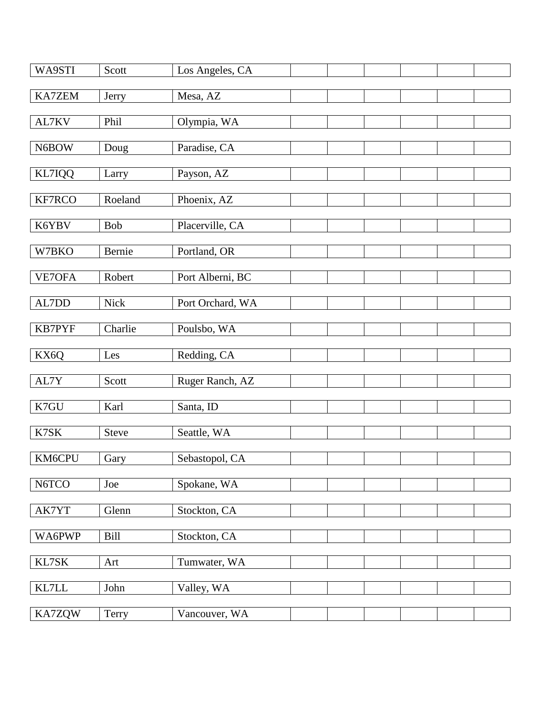| WA9STI        | Scott      | Los Angeles, CA  |  |  |  |
|---------------|------------|------------------|--|--|--|
|               |            |                  |  |  |  |
| KA7ZEM        | Jerry      | Mesa, AZ         |  |  |  |
|               |            |                  |  |  |  |
| AL7KV         | Phil       | Olympia, WA      |  |  |  |
|               |            |                  |  |  |  |
| N6BOW         | Doug       | Paradise, CA     |  |  |  |
|               |            |                  |  |  |  |
|               |            |                  |  |  |  |
| KL7IQQ        | Larry      | Payson, AZ       |  |  |  |
|               |            |                  |  |  |  |
| KF7RCO        | Roeland    | Phoenix, AZ      |  |  |  |
|               |            |                  |  |  |  |
| K6YBV         | <b>Bob</b> | Placerville, CA  |  |  |  |
|               |            |                  |  |  |  |
| W7BKO         | Bernie     | Portland, OR     |  |  |  |
|               |            |                  |  |  |  |
|               |            | Port Alberni, BC |  |  |  |
| VE7OFA        | Robert     |                  |  |  |  |
|               |            |                  |  |  |  |
| AL7DD         | Nick       | Port Orchard, WA |  |  |  |
|               |            |                  |  |  |  |
| <b>KB7PYF</b> | Charlie    | Poulsbo, WA      |  |  |  |
|               |            |                  |  |  |  |
| KX6Q          | Les        | Redding, CA      |  |  |  |
|               |            |                  |  |  |  |
|               |            |                  |  |  |  |
| AL7Y          | Scott      | Ruger Ranch, AZ  |  |  |  |
|               |            |                  |  |  |  |
| K7GU          | Karl       | Santa, ID        |  |  |  |
|               |            |                  |  |  |  |
| K7SK          | Steve      | Seattle, WA      |  |  |  |
|               |            |                  |  |  |  |
| KM6CPU        | Gary       | Sebastopol, CA   |  |  |  |
|               |            |                  |  |  |  |
| N6TCO         | Joe        | Spokane, WA      |  |  |  |
|               |            |                  |  |  |  |
|               |            |                  |  |  |  |
| AK7YT         | Glenn      | Stockton, CA     |  |  |  |
|               |            |                  |  |  |  |
| WA6PWP        | Bill       | Stockton, CA     |  |  |  |
|               |            |                  |  |  |  |
| KL7SK         | Art        | Tumwater, WA     |  |  |  |
|               |            |                  |  |  |  |
|               |            |                  |  |  |  |
| KL7LL         | John       | Valley, WA       |  |  |  |
|               |            |                  |  |  |  |
| KA7ZQW        | Terry      | Vancouver, WA    |  |  |  |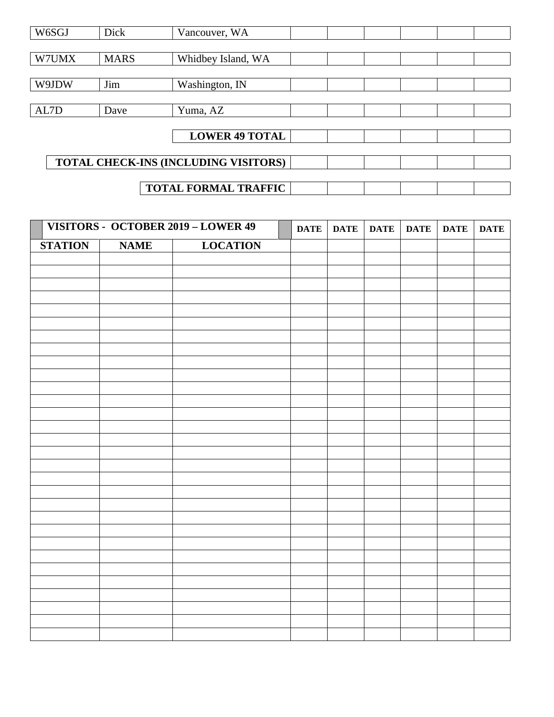| W6SGJ                       | Dick                                 | Vancouver, WA         |  |  |  |  |  |
|-----------------------------|--------------------------------------|-----------------------|--|--|--|--|--|
|                             |                                      |                       |  |  |  |  |  |
| W7UMX                       | <b>MARS</b>                          | Whidbey Island, WA    |  |  |  |  |  |
|                             |                                      |                       |  |  |  |  |  |
| W9JDW                       | Jim                                  | Washington, IN        |  |  |  |  |  |
|                             |                                      |                       |  |  |  |  |  |
| AL7D                        | Dave                                 | Yuma, AZ              |  |  |  |  |  |
|                             |                                      |                       |  |  |  |  |  |
|                             |                                      | <b>LOWER 49 TOTAL</b> |  |  |  |  |  |
|                             |                                      |                       |  |  |  |  |  |
|                             | TOTAL CHECK-INS (INCLUDING VISITORS) |                       |  |  |  |  |  |
|                             |                                      |                       |  |  |  |  |  |
| <b>TOTAL FORMAL TRAFFIC</b> |                                      |                       |  |  |  |  |  |

|                | VISITORS - OCTOBER 2019 - LOWER 49 |                 | <b>DATE</b> | <b>DATE</b> | <b>DATE</b> | <b>DATE</b> | <b>DATE</b> | <b>DATE</b> |
|----------------|------------------------------------|-----------------|-------------|-------------|-------------|-------------|-------------|-------------|
| <b>STATION</b> | <b>NAME</b>                        | <b>LOCATION</b> |             |             |             |             |             |             |
|                |                                    |                 |             |             |             |             |             |             |
|                |                                    |                 |             |             |             |             |             |             |
|                |                                    |                 |             |             |             |             |             |             |
|                |                                    |                 |             |             |             |             |             |             |
|                |                                    |                 |             |             |             |             |             |             |
|                |                                    |                 |             |             |             |             |             |             |
|                |                                    |                 |             |             |             |             |             |             |
|                |                                    |                 |             |             |             |             |             |             |
|                |                                    |                 |             |             |             |             |             |             |
|                |                                    |                 |             |             |             |             |             |             |
|                |                                    |                 |             |             |             |             |             |             |
|                |                                    |                 |             |             |             |             |             |             |
|                |                                    |                 |             |             |             |             |             |             |
|                |                                    |                 |             |             |             |             |             |             |
|                |                                    |                 |             |             |             |             |             |             |
|                |                                    |                 |             |             |             |             |             |             |
|                |                                    |                 |             |             |             |             |             |             |
|                |                                    |                 |             |             |             |             |             |             |
|                |                                    |                 |             |             |             |             |             |             |
|                |                                    |                 |             |             |             |             |             |             |
|                |                                    |                 |             |             |             |             |             |             |
|                |                                    |                 |             |             |             |             |             |             |
|                |                                    |                 |             |             |             |             |             |             |
|                |                                    |                 |             |             |             |             |             |             |
|                |                                    |                 |             |             |             |             |             |             |
|                |                                    |                 |             |             |             |             |             |             |
|                |                                    |                 |             |             |             |             |             |             |
|                |                                    |                 |             |             |             |             |             |             |
|                |                                    |                 |             |             |             |             |             |             |
|                |                                    |                 |             |             |             |             |             |             |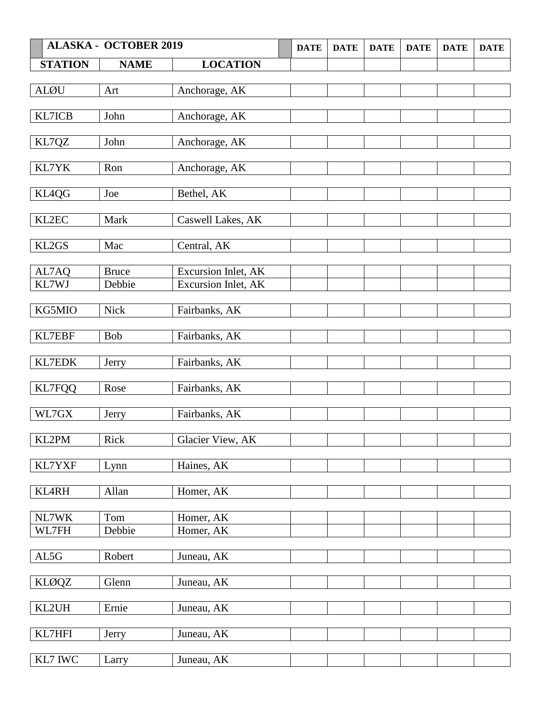| <b>ALASKA - OCTOBER 2019</b> |                                                                                                                                            | <b>DATE</b>                                                                                                                                                                                                                                                                                           | <b>DATE</b> | <b>DATE</b> | <b>DATE</b> | <b>DATE</b> | <b>DATE</b> |
|------------------------------|--------------------------------------------------------------------------------------------------------------------------------------------|-------------------------------------------------------------------------------------------------------------------------------------------------------------------------------------------------------------------------------------------------------------------------------------------------------|-------------|-------------|-------------|-------------|-------------|
| <b>NAME</b>                  | <b>LOCATION</b>                                                                                                                            |                                                                                                                                                                                                                                                                                                       |             |             |             |             |             |
|                              |                                                                                                                                            |                                                                                                                                                                                                                                                                                                       |             |             |             |             |             |
| Art                          |                                                                                                                                            |                                                                                                                                                                                                                                                                                                       |             |             |             |             |             |
|                              |                                                                                                                                            |                                                                                                                                                                                                                                                                                                       |             |             |             |             |             |
|                              |                                                                                                                                            |                                                                                                                                                                                                                                                                                                       |             |             |             |             |             |
|                              |                                                                                                                                            |                                                                                                                                                                                                                                                                                                       |             |             |             |             |             |
|                              |                                                                                                                                            |                                                                                                                                                                                                                                                                                                       |             |             |             |             |             |
| Ron                          | Anchorage, AK                                                                                                                              |                                                                                                                                                                                                                                                                                                       |             |             |             |             |             |
|                              |                                                                                                                                            |                                                                                                                                                                                                                                                                                                       |             |             |             |             |             |
| Joe                          |                                                                                                                                            |                                                                                                                                                                                                                                                                                                       |             |             |             |             |             |
|                              |                                                                                                                                            |                                                                                                                                                                                                                                                                                                       |             |             |             |             |             |
|                              |                                                                                                                                            |                                                                                                                                                                                                                                                                                                       |             |             |             |             |             |
|                              |                                                                                                                                            |                                                                                                                                                                                                                                                                                                       |             |             |             |             |             |
|                              |                                                                                                                                            |                                                                                                                                                                                                                                                                                                       |             |             |             |             |             |
| <b>Bruce</b>                 | Excursion Inlet, AK                                                                                                                        |                                                                                                                                                                                                                                                                                                       |             |             |             |             |             |
| Debbie                       | Excursion Inlet, AK                                                                                                                        |                                                                                                                                                                                                                                                                                                       |             |             |             |             |             |
|                              |                                                                                                                                            |                                                                                                                                                                                                                                                                                                       |             |             |             |             |             |
|                              |                                                                                                                                            |                                                                                                                                                                                                                                                                                                       |             |             |             |             |             |
|                              |                                                                                                                                            |                                                                                                                                                                                                                                                                                                       |             |             |             |             |             |
|                              |                                                                                                                                            |                                                                                                                                                                                                                                                                                                       |             |             |             |             |             |
|                              | Fairbanks, AK                                                                                                                              |                                                                                                                                                                                                                                                                                                       |             |             |             |             |             |
|                              |                                                                                                                                            |                                                                                                                                                                                                                                                                                                       |             |             |             |             |             |
| Rose                         |                                                                                                                                            |                                                                                                                                                                                                                                                                                                       |             |             |             |             |             |
|                              |                                                                                                                                            |                                                                                                                                                                                                                                                                                                       |             |             |             |             |             |
|                              |                                                                                                                                            |                                                                                                                                                                                                                                                                                                       |             |             |             |             |             |
|                              |                                                                                                                                            |                                                                                                                                                                                                                                                                                                       |             |             |             |             |             |
|                              |                                                                                                                                            |                                                                                                                                                                                                                                                                                                       |             |             |             |             |             |
| Lynn                         | Haines, AK                                                                                                                                 |                                                                                                                                                                                                                                                                                                       |             |             |             |             |             |
|                              |                                                                                                                                            |                                                                                                                                                                                                                                                                                                       |             |             |             |             |             |
|                              |                                                                                                                                            |                                                                                                                                                                                                                                                                                                       |             |             |             |             |             |
|                              |                                                                                                                                            |                                                                                                                                                                                                                                                                                                       |             |             |             |             |             |
|                              |                                                                                                                                            |                                                                                                                                                                                                                                                                                                       |             |             |             |             |             |
|                              |                                                                                                                                            |                                                                                                                                                                                                                                                                                                       |             |             |             |             |             |
|                              |                                                                                                                                            |                                                                                                                                                                                                                                                                                                       |             |             |             |             |             |
|                              |                                                                                                                                            |                                                                                                                                                                                                                                                                                                       |             |             |             |             |             |
| Glenn                        | Juneau, AK                                                                                                                                 |                                                                                                                                                                                                                                                                                                       |             |             |             |             |             |
|                              |                                                                                                                                            |                                                                                                                                                                                                                                                                                                       |             |             |             |             |             |
|                              |                                                                                                                                            |                                                                                                                                                                                                                                                                                                       |             |             |             |             |             |
|                              |                                                                                                                                            |                                                                                                                                                                                                                                                                                                       |             |             |             |             |             |
|                              |                                                                                                                                            |                                                                                                                                                                                                                                                                                                       |             |             |             |             |             |
|                              |                                                                                                                                            |                                                                                                                                                                                                                                                                                                       |             |             |             |             |             |
|                              | John<br>John<br>Mark<br>Mac<br><b>Nick</b><br>Bob<br>Jerry<br>Jerry<br>Rick<br>Allan<br>Tom<br>Debbie<br>Robert<br>Ernie<br>Jerry<br>Larry | Anchorage, AK<br>Anchorage, AK<br>Anchorage, AK<br>Bethel, AK<br>Caswell Lakes, AK<br>Central, AK<br>Fairbanks, AK<br>Fairbanks, AK<br>Fairbanks, AK<br>Fairbanks, AK<br>Glacier View, AK<br>Homer, AK<br>Homer, AK<br>Homer, AK<br>Juneau, $\overline{AK}$<br>Juneau, AK<br>Juneau, AK<br>Juneau, AK |             |             |             |             |             |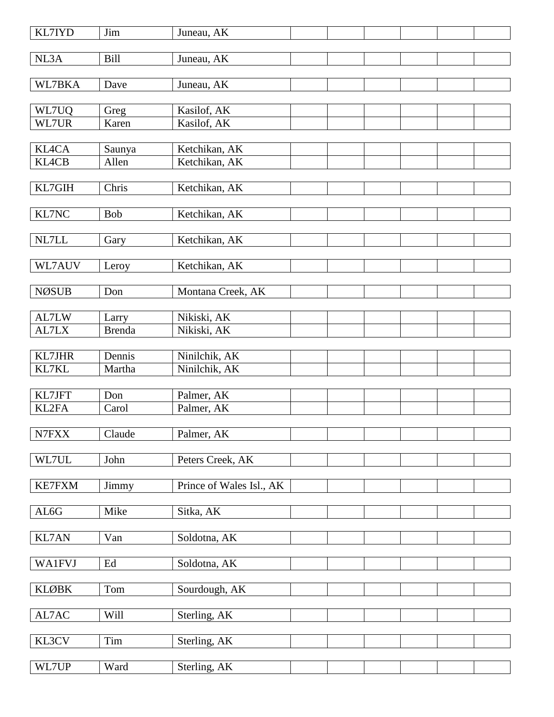| <b>KL7IYD</b> | Jim           | Juneau, AK               |  |  |  |
|---------------|---------------|--------------------------|--|--|--|
| NL3A          | <b>Bill</b>   | Juneau, AK               |  |  |  |
| WL7BKA        | Dave          | Juneau, AK               |  |  |  |
|               |               |                          |  |  |  |
| WL7UQ         | Greg          | Kasilof, AK              |  |  |  |
| WL7UR         | Karen         | Kasilof, AK              |  |  |  |
| <b>KL4CA</b>  | Saunya        | Ketchikan, AK            |  |  |  |
| <b>KL4CB</b>  | Allen         | Ketchikan, AK            |  |  |  |
|               |               |                          |  |  |  |
| KL7GIH        | Chris         | Ketchikan, AK            |  |  |  |
| KL7NC         | Bob           | Ketchikan, AK            |  |  |  |
|               |               |                          |  |  |  |
| NL7LL         | Gary          | Ketchikan, AK            |  |  |  |
|               |               |                          |  |  |  |
| WL7AUV        | Leroy         | Ketchikan, AK            |  |  |  |
| <b>NØSUB</b>  | Don           | Montana Creek, AK        |  |  |  |
|               |               |                          |  |  |  |
| AL7LW         | Larry         | Nikiski, AK              |  |  |  |
| AL7LX         | <b>Brenda</b> | Nikiski, AK              |  |  |  |
| <b>KL7JHR</b> | Dennis        | Ninilchik, AK            |  |  |  |
| KL7KL         | Martha        | Ninilchik, AK            |  |  |  |
|               |               |                          |  |  |  |
| KL7JFT        | Don           | Palmer, AK               |  |  |  |
| KL2FA         | Carol         | Palmer, AK               |  |  |  |
| N7FXX         | Claude        | Palmer, AK               |  |  |  |
|               |               |                          |  |  |  |
| WL7UL         | John          | Peters Creek, AK         |  |  |  |
| <b>KE7FXM</b> | Jimmy         | Prince of Wales Isl., AK |  |  |  |
|               |               |                          |  |  |  |
| ${\rm AL6G}$  | Mike          | Sitka, AK                |  |  |  |
|               |               |                          |  |  |  |
| <b>KL7AN</b>  | Van           | Soldotna, AK             |  |  |  |
| <b>WA1FVJ</b> | Ed            | Soldotna, AK             |  |  |  |
|               |               |                          |  |  |  |
| <b>KLØBK</b>  | Tom           | Sourdough, AK            |  |  |  |
|               |               |                          |  |  |  |
| AL7AC         | Will          | Sterling, AK             |  |  |  |
| KL3CV         | Tim           | Sterling, AK             |  |  |  |
|               |               |                          |  |  |  |
| WL7UP         | Ward          | Sterling, AK             |  |  |  |